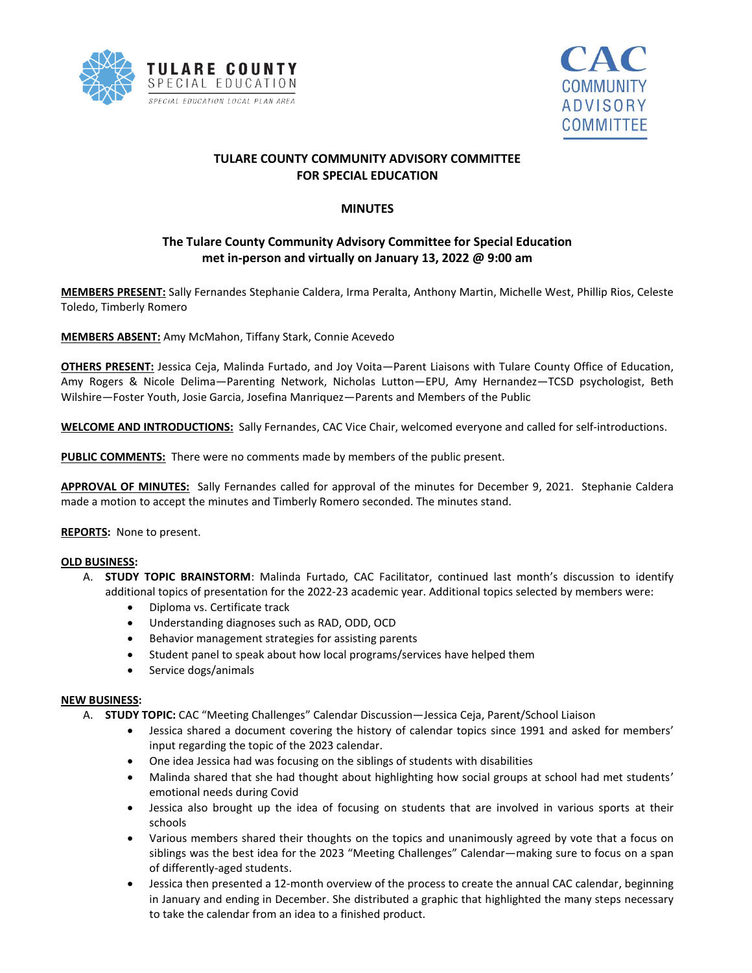



# **TULARE COUNTY COMMUNITY ADVISORY COMMITTEE FOR SPECIAL EDUCATION**

### **MINUTES**

# **The Tulare County Community Advisory Committee for Special Education met in-person and virtually on January 13, 2022 @ 9:00 am**

**MEMBERS PRESENT:** Sally Fernandes Stephanie Caldera, Irma Peralta, Anthony Martin, Michelle West, Phillip Rios, Celeste Toledo, Timberly Romero

**MEMBERS ABSENT:** Amy McMahon, Tiffany Stark, Connie Acevedo

**OTHERS PRESENT:** Jessica Ceja, Malinda Furtado, and Joy Voita—Parent Liaisons with Tulare County Office of Education, Amy Rogers & Nicole Delima—Parenting Network, Nicholas Lutton—EPU, Amy Hernandez—TCSD psychologist, Beth Wilshire—Foster Youth, Josie Garcia, Josefina Manriquez—Parents and Members of the Public

**WELCOME AND INTRODUCTIONS:** Sally Fernandes, CAC Vice Chair, welcomed everyone and called for self-introductions.

**PUBLIC COMMENTS:** There were no comments made by members of the public present.

**APPROVAL OF MINUTES:** Sally Fernandes called for approval of the minutes for December 9, 2021. Stephanie Caldera made a motion to accept the minutes and Timberly Romero seconded. The minutes stand.

**REPORTS:** None to present.

#### **OLD BUSINESS:**

- A. **STUDY TOPIC BRAINSTORM**: Malinda Furtado, CAC Facilitator, continued last month's discussion to identify additional topics of presentation for the 2022-23 academic year. Additional topics selected by members were:
	- Diploma vs. Certificate track
	- Understanding diagnoses such as RAD, ODD, OCD
	- Behavior management strategies for assisting parents
	- Student panel to speak about how local programs/services have helped them
	- Service dogs/animals

#### **NEW BUSINESS:**

- A. **STUDY TOPIC:** CAC "Meeting Challenges" Calendar Discussion—Jessica Ceja, Parent/School Liaison
	- Jessica shared a document covering the history of calendar topics since 1991 and asked for members' input regarding the topic of the 2023 calendar.
	- One idea Jessica had was focusing on the siblings of students with disabilities
	- Malinda shared that she had thought about highlighting how social groups at school had met students' emotional needs during Covid
	- Jessica also brought up the idea of focusing on students that are involved in various sports at their schools
	- Various members shared their thoughts on the topics and unanimously agreed by vote that a focus on siblings was the best idea for the 2023 "Meeting Challenges" Calendar—making sure to focus on a span of differently-aged students.
	- Jessica then presented a 12-month overview of the process to create the annual CAC calendar, beginning in January and ending in December. She distributed a graphic that highlighted the many steps necessary to take the calendar from an idea to a finished product.